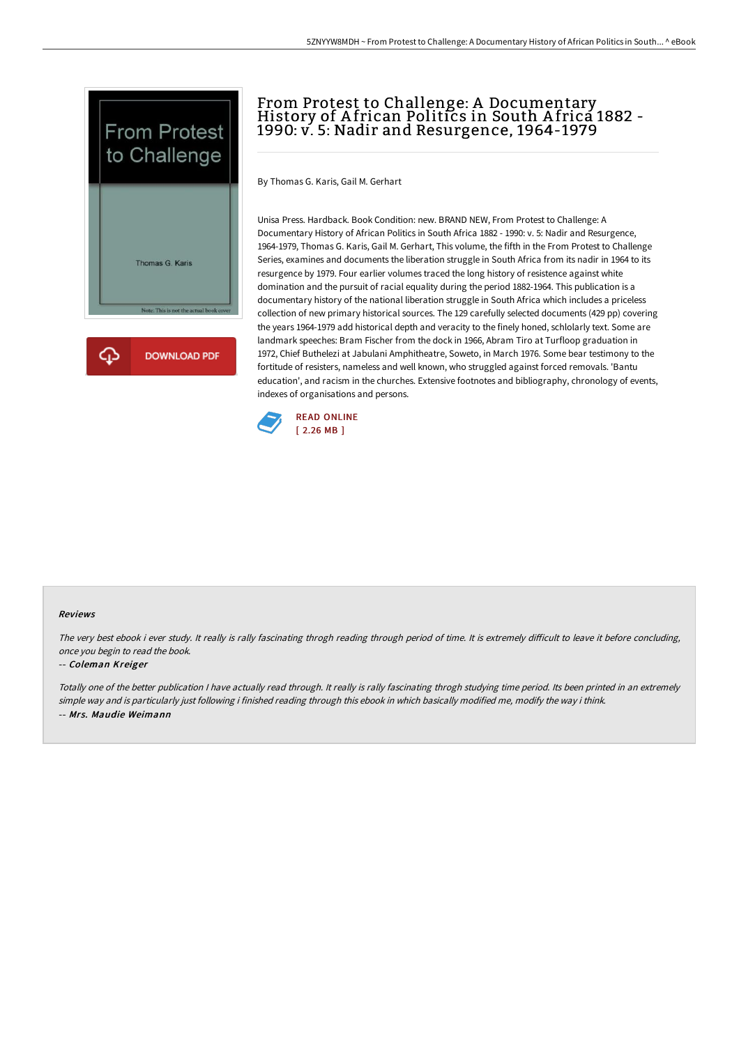



# From Protest to Challenge: A Documentary<br>History of African Politics in South Africa 1882 -1990: v. 5: Nadir and Resurgence, 1964-1979

By Thomas G. Karis, Gail M. Gerhart

Unisa Press. Hardback. Book Condition: new. BRAND NEW, From Protest to Challenge: A Documentary History of African Politics in South Africa 1882 - 1990: v. 5: Nadir and Resurgence, 1964-1979, Thomas G. Karis, Gail M. Gerhart, This volume, the fifth in the From Protest to Challenge Series, examines and documents the liberation struggle in South Africa from its nadir in 1964 to its resurgence by 1979. Four earlier volumes traced the long history of resistence against white domination and the pursuit of racial equality during the period 1882-1964. This publication is a documentary history of the national liberation struggle in South Africa which includes a priceless collection of new primary historical sources. The 129 carefully selected documents (429 pp) covering the years 1964-1979 add historical depth and veracity to the finely honed, schlolarly text. Some are landmark speeches: Bram Fischer from the dock in 1966, Abram Tiro at Turfloop graduation in 1972, Chief Buthelezi at Jabulani Amphitheatre, Soweto, in March 1976. Some bear testimony to the fortitude of resisters, nameless and well known, who struggled against forced removals. 'Bantu education', and racism in the churches. Extensive footnotes and bibliography, chronology of events, indexes of organisations and persons.



#### Reviews

The very best ebook i ever study. It really is rally fascinating throgh reading through period of time. It is extremely difficult to leave it before concluding, once you begin to read the book.

#### -- Coleman Kreiger

Totally one of the better publication <sup>I</sup> have actually read through. It really is rally fascinating throgh studying time period. Its been printed in an extremely simple way and is particularly just following i finished reading through this ebook in which basically modified me, modify the way i think. -- Mrs. Maudie Weimann